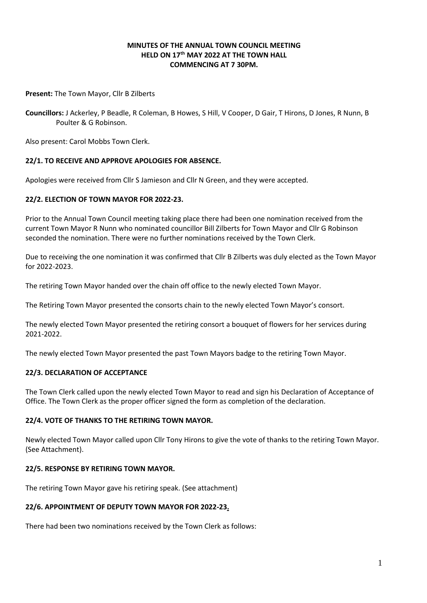## **MINUTES OF THE ANNUAL TOWN COUNCIL MEETING HELD ON 17th MAY 2022 AT THE TOWN HALL COMMENCING AT 7 30PM.**

**Present:** The Town Mayor, Cllr B Zilberts

**Councillors:** J Ackerley, P Beadle, R Coleman, B Howes, S Hill, V Cooper, D Gair, T Hirons, D Jones, R Nunn, B Poulter & G Robinson.

Also present: Carol Mobbs Town Clerk.

## **22/1. TO RECEIVE AND APPROVE APOLOGIES FOR ABSENCE.**

Apologies were received from Cllr S Jamieson and Cllr N Green, and they were accepted.

#### **22/2. ELECTION OF TOWN MAYOR FOR 2022-23.**

Prior to the Annual Town Council meeting taking place there had been one nomination received from the current Town Mayor R Nunn who nominated councillor Bill Zilberts for Town Mayor and Cllr G Robinson seconded the nomination. There were no further nominations received by the Town Clerk.

Due to receiving the one nomination it was confirmed that Cllr B Zilberts was duly elected as the Town Mayor for 2022-2023.

The retiring Town Mayor handed over the chain off office to the newly elected Town Mayor.

The Retiring Town Mayor presented the consorts chain to the newly elected Town Mayor's consort.

The newly elected Town Mayor presented the retiring consort a bouquet of flowers for her services during 2021-2022.

The newly elected Town Mayor presented the past Town Mayors badge to the retiring Town Mayor.

#### **22/3. DECLARATION OF ACCEPTANCE**

The Town Clerk called upon the newly elected Town Mayor to read and sign his Declaration of Acceptance of Office. The Town Clerk as the proper officer signed the form as completion of the declaration.

#### **22/4. VOTE OF THANKS TO THE RETIRING TOWN MAYOR.**

Newly elected Town Mayor called upon Cllr Tony Hirons to give the vote of thanks to the retiring Town Mayor. (See Attachment).

## **22/5. RESPONSE BY RETIRING TOWN MAYOR.**

The retiring Town Mayor gave his retiring speak. (See attachment)

#### **22/6. APPOINTMENT OF DEPUTY TOWN MAYOR FOR 2022-23.**

There had been two nominations received by the Town Clerk as follows: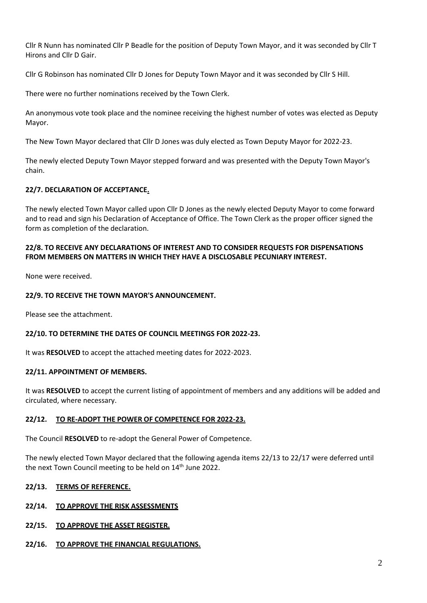Cllr R Nunn has nominated Cllr P Beadle for the position of Deputy Town Mayor, and it was seconded by Cllr T Hirons and Cllr D Gair.

Cllr G Robinson has nominated Cllr D Jones for Deputy Town Mayor and it was seconded by Cllr S Hill.

There were no further nominations received by the Town Clerk.

An anonymous vote took place and the nominee receiving the highest number of votes was elected as Deputy Mayor.

The New Town Mayor declared that Cllr D Jones was duly elected as Town Deputy Mayor for 2022-23.

The newly elected Deputy Town Mayor stepped forward and was presented with the Deputy Town Mayor's chain.

## **22/7. DECLARATION OF ACCEPTANCE.**

The newly elected Town Mayor called upon Cllr D Jones as the newly elected Deputy Mayor to come forward and to read and sign his Declaration of Acceptance of Office. The Town Clerk as the proper officer signed the form as completion of the declaration.

## **22/8. TO RECEIVE ANY DECLARATIONS OF INTEREST AND TO CONSIDER REQUESTS FOR DISPENSATIONS FROM MEMBERS ON MATTERS IN WHICH THEY HAVE A DISCLOSABLE PECUNIARY INTEREST.**

None were received.

## **22/9. TO RECEIVE THE TOWN MAYOR'S ANNOUNCEMENT.**

Please see the attachment.

#### **22/10. TO DETERMINE THE DATES OF COUNCIL MEETINGS FOR 2022-23.**

It was **RESOLVED** to accept the attached meeting dates for 2022-2023.

#### **22/11. APPOINTMENT OF MEMBERS.**

It was **RESOLVED** to accept the current listing of appointment of members and any additions will be added and circulated, where necessary.

#### **22/12. TO RE-ADOPT THE POWER OF COMPETENCE FOR 2022-23.**

The Council **RESOLVED** to re-adopt the General Power of Competence.

The newly elected Town Mayor declared that the following agenda items 22/13 to 22/17 were deferred until the next Town Council meeting to be held on 14<sup>th</sup> June 2022.

#### **22/13. TERMS OF REFERENCE.**

#### **22/14. TO APPROVE THE RISK ASSESSMENTS**

#### **22/15. TO APPROVE THE ASSET REGISTER.**

#### **22/16. TO APPROVE THE FINANCIAL REGULATIONS.**